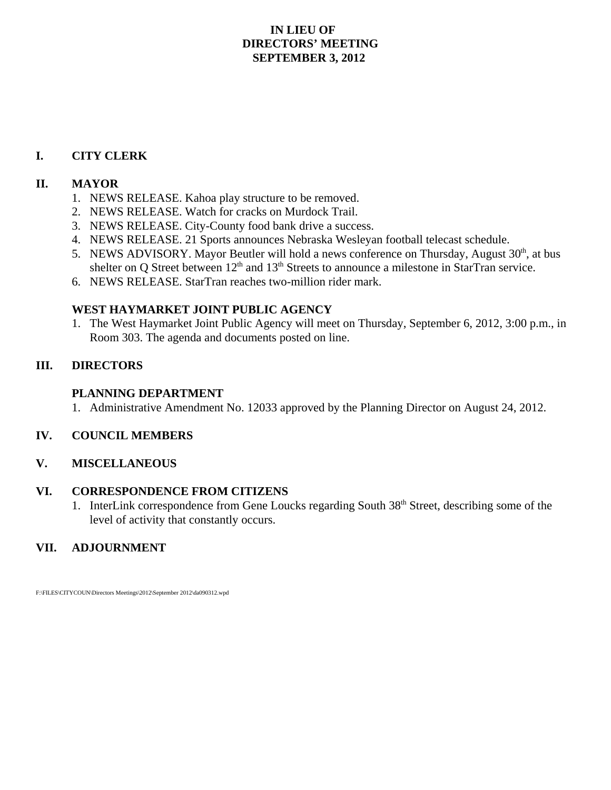## **IN LIEU OF DIRECTORS' MEETING SEPTEMBER 3, 2012**

## **I. CITY CLERK**

### **II. MAYOR**

- 1. NEWS RELEASE. Kahoa play structure to be removed.
- 2. NEWS RELEASE. Watch for cracks on Murdock Trail.
- 3. NEWS RELEASE. City-County food bank drive a success.
- 4. NEWS RELEASE. 21 Sports announces Nebraska Wesleyan football telecast schedule.
- 5. NEWS ADVISORY. Mayor Beutler will hold a news conference on Thursday, August  $30<sup>th</sup>$ , at bus shelter on Q Street between  $12<sup>th</sup>$  and  $13<sup>th</sup>$  Streets to announce a milestone in StarTran service.
- 6. NEWS RELEASE. StarTran reaches two-million rider mark.

#### **WEST HAYMARKET JOINT PUBLIC AGENCY**

1. The West Haymarket Joint Public Agency will meet on Thursday, September 6, 2012, 3:00 p.m., in Room 303. The agenda and documents posted on line.

#### **III. DIRECTORS**

#### **PLANNING DEPARTMENT**

1. Administrative Amendment No. 12033 approved by the Planning Director on August 24, 2012.

#### **IV. COUNCIL MEMBERS**

#### **V. MISCELLANEOUS**

#### **VI. CORRESPONDENCE FROM CITIZENS**

1. InterLink correspondence from Gene Loucks regarding South 38th Street, describing some of the level of activity that constantly occurs.

### **VII. ADJOURNMENT**

F:\FILES\CITYCOUN\Directors Meetings\2012\September 2012\da090312.wpd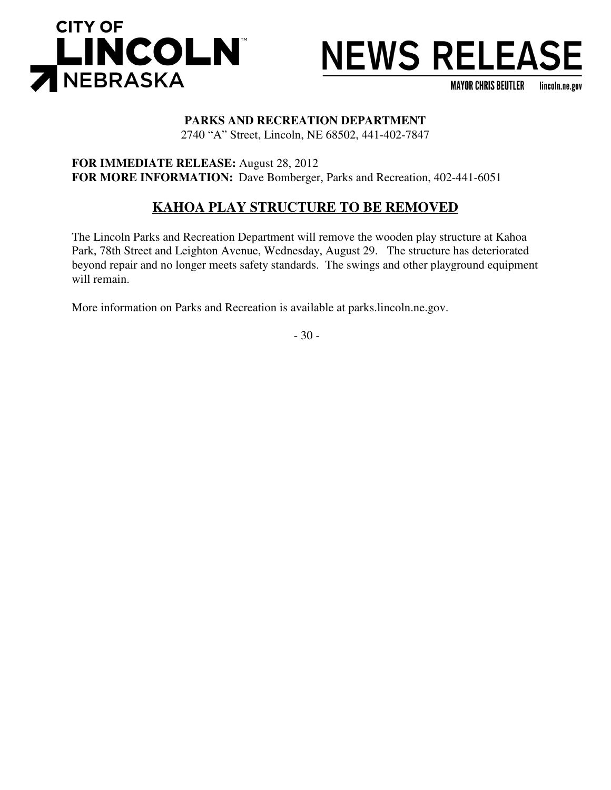

**MAYOR CHRIS BEUTLER** lincoln.ne.gov

# **PARKS AND RECREATION DEPARTMENT**

2740 "A" Street, Lincoln, NE 68502, 441-402-7847

**FOR IMMEDIATE RELEASE:** August 28, 2012 **FOR MORE INFORMATION:** Dave Bomberger, Parks and Recreation, 402-441-6051

# **KAHOA PLAY STRUCTURE TO BE REMOVED**

The Lincoln Parks and Recreation Department will remove the wooden play structure at Kahoa Park, 78th Street and Leighton Avenue, Wednesday, August 29. The structure has deteriorated beyond repair and no longer meets safety standards. The swings and other playground equipment will remain.

More information on Parks and Recreation is available at parks.lincoln.ne.gov.

- 30 -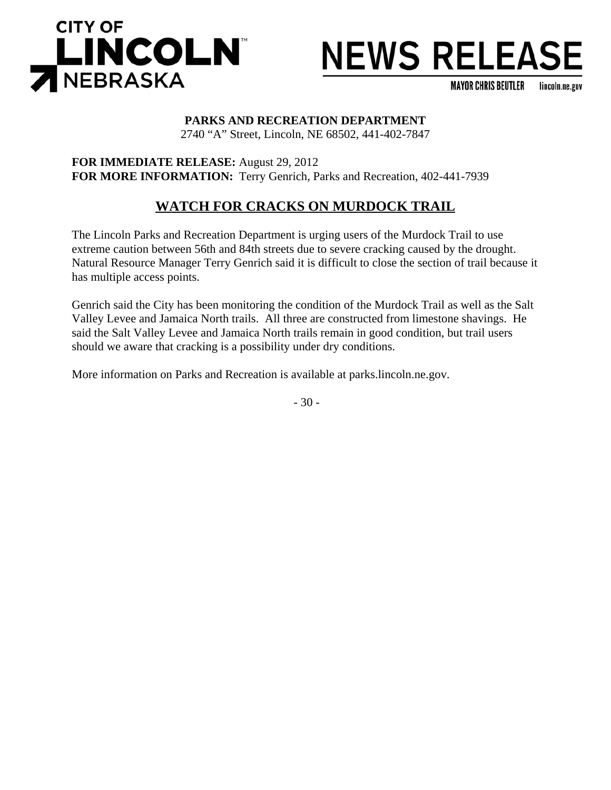

**MAYOR CHRIS BEUTLER** lincoln.ne.gov

#### **PARKS AND RECREATION DEPARTMENT**

2740 "A" Street, Lincoln, NE 68502, 441-402-7847

**FOR IMMEDIATE RELEASE:** August 29, 2012 **FOR MORE INFORMATION:** Terry Genrich, Parks and Recreation, 402-441-7939

## **WATCH FOR CRACKS ON MURDOCK TRAIL**

The Lincoln Parks and Recreation Department is urging users of the Murdock Trail to use extreme caution between 56th and 84th streets due to severe cracking caused by the drought. Natural Resource Manager Terry Genrich said it is difficult to close the section of trail because it has multiple access points.

Genrich said the City has been monitoring the condition of the Murdock Trail as well as the Salt Valley Levee and Jamaica North trails. All three are constructed from limestone shavings. He said the Salt Valley Levee and Jamaica North trails remain in good condition, but trail users should we aware that cracking is a possibility under dry conditions.

More information on Parks and Recreation is available at parks.lincoln.ne.gov.

- 30 -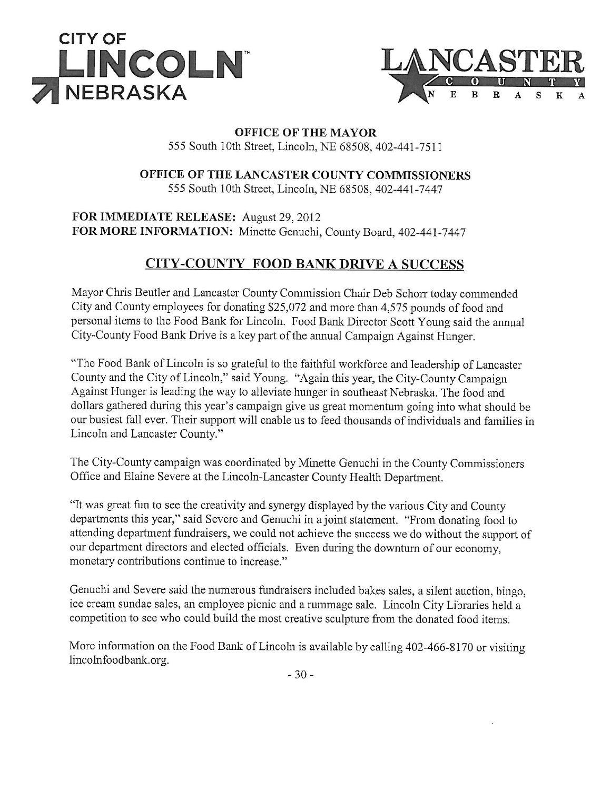



# **OFFICE OF THE MAYOR**

555 South 10th Street, Lincoln, NE 68508, 402-441-7511

## OFFICE OF THE LANCASTER COUNTY COMMISSIONERS

555 South 10th Street, Lincoln, NE 68508, 402-441-7447

FOR IMMEDIATE RELEASE: August 29, 2012 FOR MORE INFORMATION: Minette Genuchi, County Board, 402-441-7447

## **CITY-COUNTY FOOD BANK DRIVE A SUCCESS**

Mayor Chris Beutler and Lancaster County Commission Chair Deb Schorr today commended City and County employees for donating \$25,072 and more than 4,575 pounds of food and personal items to the Food Bank for Lincoln. Food Bank Director Scott Young said the annual City-County Food Bank Drive is a key part of the annual Campaign Against Hunger.

"The Food Bank of Lincoln is so grateful to the faithful workforce and leadership of Lancaster County and the City of Lincoln," said Young. "Again this year, the City-County Campaign Against Hunger is leading the way to alleviate hunger in southeast Nebraska. The food and dollars gathered during this year's campaign give us great momentum going into what should be our busiest fall ever. Their support will enable us to feed thousands of individuals and families in Lincoln and Lancaster County."

The City-County campaign was coordinated by Minette Genuchi in the County Commissioners Office and Elaine Severe at the Lincoln-Lancaster County Health Department.

"It was great fun to see the creativity and synergy displayed by the various City and County departments this year," said Severe and Genuchi in a joint statement. "From donating food to attending department fundraisers, we could not achieve the success we do without the support of our department directors and elected officials. Even during the downturn of our economy, monetary contributions continue to increase."

Genuchi and Severe said the numerous fundraisers included bakes sales, a silent auction, bingo, ice cream sundae sales, an employee picnic and a rummage sale. Lincoln City Libraries held a competition to see who could build the most creative sculpture from the donated food items.

More information on the Food Bank of Lincoln is available by calling 402-466-8170 or visiting lincolnfoodbank.org.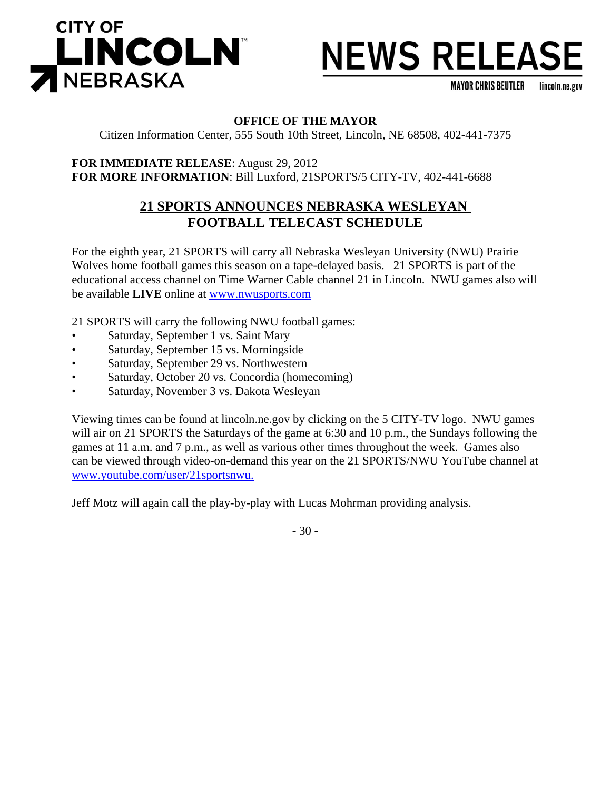

**MAYOR CHRIS BEUTLER** lincoln.ne.gov

### **OFFICE OF THE MAYOR**

Citizen Information Center, 555 South 10th Street, Lincoln, NE 68508, 402-441-7375

**FOR IMMEDIATE RELEASE**: August 29, 2012 **FOR MORE INFORMATION**: Bill Luxford, 21SPORTS/5 CITY-TV, 402-441-6688

## **21 SPORTS ANNOUNCES NEBRASKA WESLEYAN FOOTBALL TELECAST SCHEDULE**

For the eighth year, 21 SPORTS will carry all Nebraska Wesleyan University (NWU) Prairie Wolves home football games this season on a tape-delayed basis. 21 SPORTS is part of the educational access channel on Time Warner Cable channel 21 in Lincoln. NWU games also will be available **LIVE** online at www.nwusports.com

21 SPORTS will carry the following NWU football games:

- Saturday, September 1 vs. Saint Mary
- Saturday, September 15 vs. Morningside
- Saturday, September 29 vs. Northwestern
- Saturday, October 20 vs. Concordia (homecoming)
- Saturday, November 3 vs. Dakota Wesleyan

Viewing times can be found at lincoln.ne.gov by clicking on the 5 CITY-TV logo. NWU games will air on 21 SPORTS the Saturdays of the game at 6:30 and 10 p.m., the Sundays following the games at 11 a.m. and 7 p.m., as well as various other times throughout the week. Games also can be viewed through video-on-demand this year on the 21 SPORTS/NWU YouTube channel at www.youtube.com/user/21sportsnwu.

Jeff Motz will again call the play-by-play with Lucas Mohrman providing analysis.

- 30 -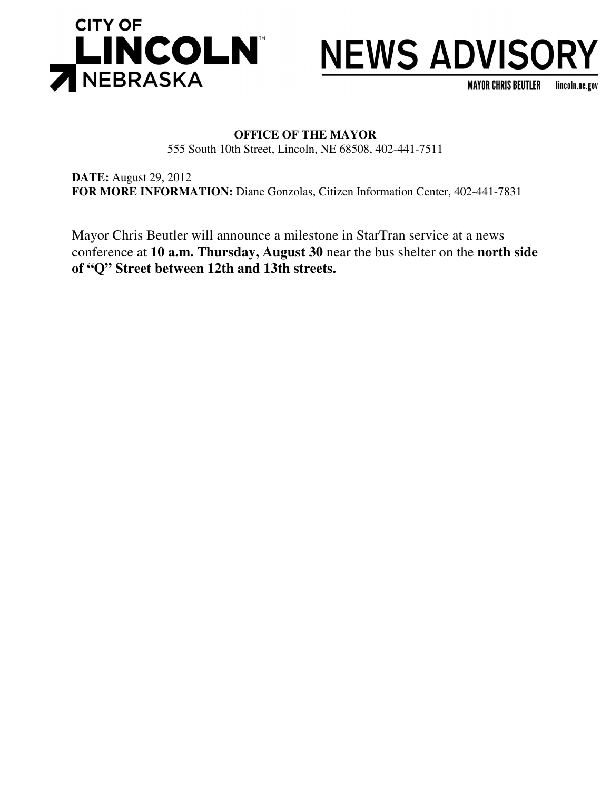

# **NEWS ADVISORY**

**MAYOR CHRIS BEUTLER** lincoln.ne.gov

### **OFFICE OF THE MAYOR** 555 South 10th Street, Lincoln, NE 68508, 402-441-7511

**DATE:** August 29, 2012 **FOR MORE INFORMATION:** Diane Gonzolas, Citizen Information Center, 402-441-7831

Mayor Chris Beutler will announce a milestone in StarTran service at a news conference at **10 a.m. Thursday, August 30** near the bus shelter on the **north side of "Q" Street between 12th and 13th streets.**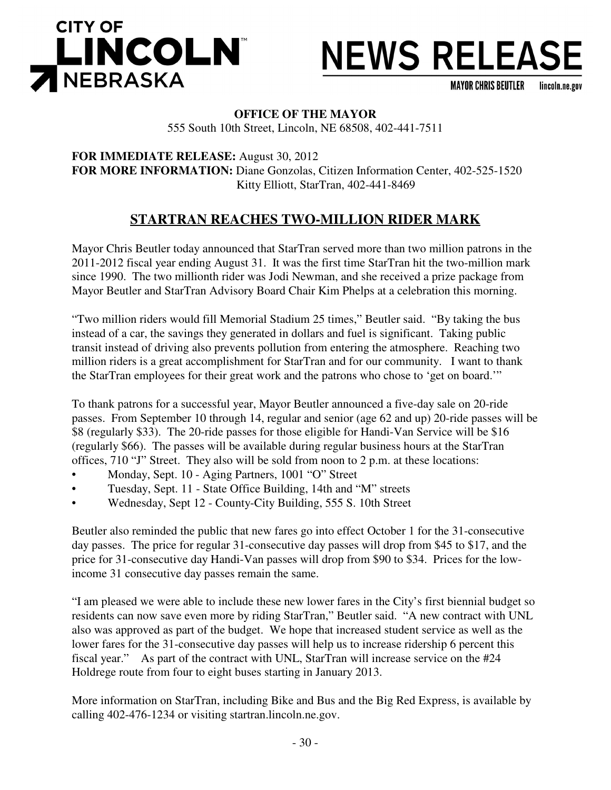

**MAYOR CHRIS BEUTLER** lincoln.ne.gov

## **OFFICE OF THE MAYOR**

555 South 10th Street, Lincoln, NE 68508, 402-441-7511

**FOR IMMEDIATE RELEASE:** August 30, 2012 **FOR MORE INFORMATION:** Diane Gonzolas, Citizen Information Center, 402-525-1520 Kitty Elliott, StarTran, 402-441-8469

## **STARTRAN REACHES TWO-MILLION RIDER MARK**

Mayor Chris Beutler today announced that StarTran served more than two million patrons in the 2011-2012 fiscal year ending August 31. It was the first time StarTran hit the two-million mark since 1990. The two millionth rider was Jodi Newman, and she received a prize package from Mayor Beutler and StarTran Advisory Board Chair Kim Phelps at a celebration this morning.

"Two million riders would fill Memorial Stadium 25 times," Beutler said. "By taking the bus instead of a car, the savings they generated in dollars and fuel is significant. Taking public transit instead of driving also prevents pollution from entering the atmosphere. Reaching two million riders is a great accomplishment for StarTran and for our community. I want to thank the StarTran employees for their great work and the patrons who chose to 'get on board.'"

To thank patrons for a successful year, Mayor Beutler announced a five-day sale on 20-ride passes. From September 10 through 14, regular and senior (age 62 and up) 20-ride passes will be \$8 (regularly \$33). The 20-ride passes for those eligible for Handi-Van Service will be \$16 (regularly \$66). The passes will be available during regular business hours at the StarTran offices, 710 "J" Street. They also will be sold from noon to 2 p.m. at these locations:

- Monday, Sept. 10 Aging Partners, 1001 "O" Street
- Tuesday, Sept. 11 State Office Building, 14th and "M" streets
- Wednesday, Sept 12 County-City Building, 555 S. 10th Street

Beutler also reminded the public that new fares go into effect October 1 for the 31-consecutive day passes. The price for regular 31-consecutive day passes will drop from \$45 to \$17, and the price for 31-consecutive day Handi-Van passes will drop from \$90 to \$34. Prices for the lowincome 31 consecutive day passes remain the same.

"I am pleased we were able to include these new lower fares in the City's first biennial budget so residents can now save even more by riding StarTran," Beutler said. "A new contract with UNL also was approved as part of the budget. We hope that increased student service as well as the lower fares for the 31-consecutive day passes will help us to increase ridership 6 percent this fiscal year." As part of the contract with UNL, StarTran will increase service on the #24 Holdrege route from four to eight buses starting in January 2013.

More information on StarTran, including Bike and Bus and the Big Red Express, is available by calling 402-476-1234 or visiting startran.lincoln.ne.gov.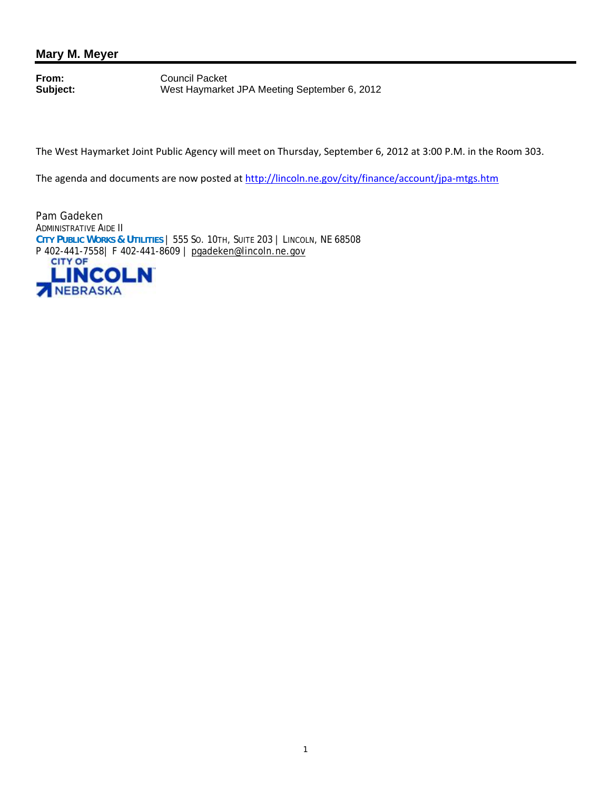## **Mary M. Meyer**

**From:** Council Packet<br> **Subject:** West Haymarke West Haymarket JPA Meeting September 6, 2012

The West Haymarket Joint Public Agency will meet on Thursday, September 6, 2012 at 3:00 P.M. in the Room 303.

The agenda and documents are now posted at http://lincoln.ne.gov/city/finance/account/jpa-mtgs.htm

Pam Gadeken ADMINISTRATIVE AIDE II **CITY PUBLIC WORKS & UTILITIES** | 555 SO. 10TH, SUITE 203 | LINCOLN, NE 68508 P 402-441-7558 | F 402-441-8609 | pgadeken@lincoln.ne.gov

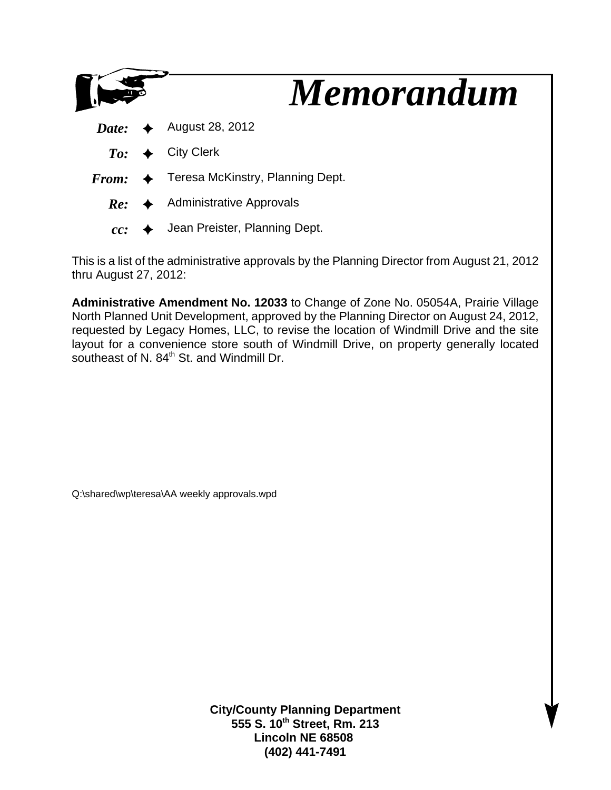|  | <b>Memorandum</b>                                        |
|--|----------------------------------------------------------|
|  | <i>Date:</i> $\leftrightarrow$ August 28, 2012           |
|  | $To: \leftrightarrow$ City Clerk                         |
|  | $From: \leftrightarrow$ Teresa McKinstry, Planning Dept. |
|  | $Re:$ Administrative Approvals                           |
|  | $cc:$ $\leftrightarrow$ Jean Preister, Planning Dept.    |

This is a list of the administrative approvals by the Planning Director from August 21, 2012 thru August 27, 2012:

**Administrative Amendment No. 12033** to Change of Zone No. 05054A, Prairie Village North Planned Unit Development, approved by the Planning Director on August 24, 2012, requested by Legacy Homes, LLC, to revise the location of Windmill Drive and the site layout for a convenience store south of Windmill Drive, on property generally located southeast of N. 84<sup>th</sup> St. and Windmill Dr.

Q:\shared\wp\teresa\AA weekly approvals.wpd

**City/County Planning Department 555 S. 10th Street, Rm. 213 Lincoln NE 68508 (402) 441-7491**